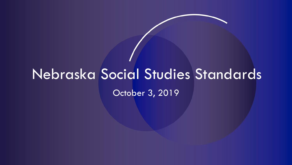# Nebraska Social Studies Standards October 3, 2019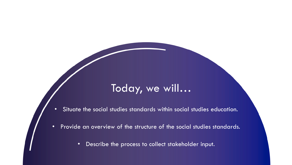#### Today, we will…

- Situate the social studies standards within social studies education.
- Provide an overview of the structure of the social studies standards.
	- Describe the process to collect stakeholder input.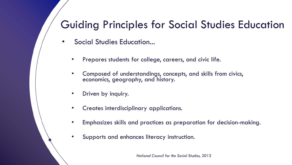#### Guiding Principles for Social Studies Education

- Social Studies Education...
	- Prepares students for college, careers, and civic life.
	- Composed of understandings, concepts, and skills from civics, economics, geography, and history.
	- Driven by inquiry.
	- Creates interdisciplinary applications.
	- Emphasizes skills and practices as preparation for decision-making.
	- Supports and enhances literacy instruction.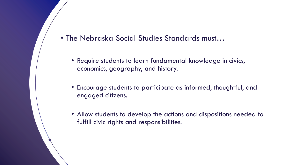- The Nebraska Social Studies Standards must…
	- Require students to learn fundamental knowledge in civics, economics, geography, and history.
	- Encourage students to participate as informed, thoughtful, and engaged citizens.
	- Allow students to develop the actions and dispositions needed to fulfill civic rights and responsibilities.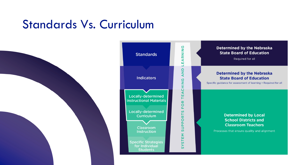#### Standards Vs. Curriculum





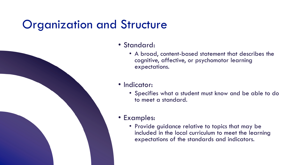#### Organization and Structure



- Standard:
	- A broad, content-based statement that describes the cognitive, affective, or psychomotor learning expectations.

#### • Indicator:

• Specifies what a student must know and be able to do to meet a standard.

#### • Examples:

• Provide guidance relative to topics that may be included in the local curriculum to meet the learning expectations of the standards and indicators.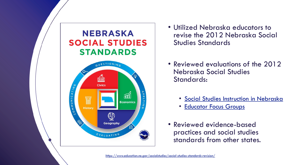

- Utilized Nebraska educators to revise the 2012 Nebraska Social Studies Standards
- Reviewed evaluations of the 2012 Nebraska Social Studies Standards:
	- [Social Studies Instruction in Nebraska](https://cdn.education.ne.gov/wp-content/uploads/2017/11/Social-Studies-Instruction-in-Nebraska_Final-100517.pdf)
	- [Educator Focus Groups](https://cdn.education.ne.gov/wp-content/uploads/2018/09/Summary-of-2018-Nebraska-Social-Studies-Focus-Groups.pdf)
- Reviewed evidence-based practices and social studies standards from other states.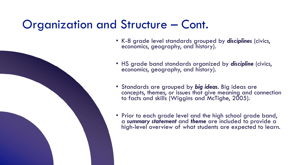#### Organization and Structure – Cont.

- K-8 grade level standards grouped by *disciplines* (civics, economics, geography, and history).
- HS grade band standards organized by *discipline* (civics, economics, geography, and history).
- Standards are grouped by *big ideas*. Big ideas are concepts, themes, or issues that give meaning and connection to facts and skills (Wiggins and McTighe, 2005).
- Prior to each grade level and the high school grade band, a *summary statement* and *theme* are included to provide a high-level overview of what students are expected to learn.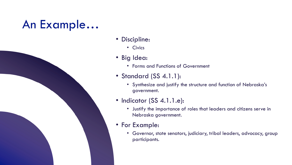### An Example…



- Civics
- Big Idea:
	- Forms and Functions of Government
- Standard (SS 4.1.1):
	- Synthesize and justify the structure and function of Nebraska's government.
- Indicator (SS 4.1.1.e):
	- Justify the importance of roles that leaders and citizens serve in Nebraska government.
- For Example:
	- Governor, state senators, judiciary, tribal leaders, advocacy, group participants.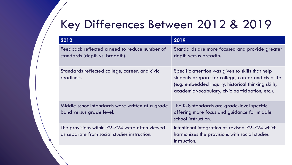### Key Differences Between 2012 & 2019

| 2012                                                                                           | 2019                                                                                                                                                                                                               |
|------------------------------------------------------------------------------------------------|--------------------------------------------------------------------------------------------------------------------------------------------------------------------------------------------------------------------|
| Feedback reflected a need to reduce number of<br>standards (depth vs. breadth).                | Standards are more focused and provide greater<br>depth versus breadth.                                                                                                                                            |
| Standards reflected college, career, and civic<br>readiness.                                   | Specific attention was given to skills that help<br>students prepare for college, career and civic life<br>(e.g. embedded inquiry, historical thinking skills,<br>academic vocabulary, civic participation, etc.). |
| Middle school standards were written at a grade<br>band versus grade level.                    | The K-8 standards are grade-level specific<br>offering more focus and guidance for middle<br>school instruction.                                                                                                   |
| The provisions within 79-724 were often viewed<br>as separate from social studies instruction. | Intentional integration of revised 79-724 which<br>harmonizes the provisions with social studies<br>instruction.                                                                                                   |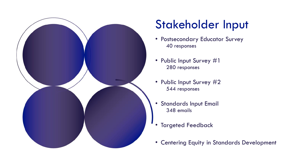

## Stakeholder Input

- Postsecondary Educator Survey 40 responses
- Public Input Survey #1 280 responses
- Public Input Survey #2 544 responses
- Standards Input Email 348 emails
- **Targeted Feedback**
- Centering Equity in Standards Development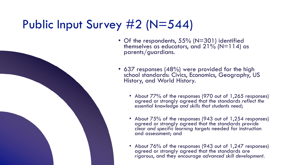### Public Input Survey #2 (N=544)

- 
- Of the respondents, 55% (N=301) identified themselves as educators, and  $21\%$  (N=114) as parents/guardians.
- 637 responses (48%) were provided for the high school standards: Civics, Economics, Geography, US History, and World History.
	- About 77% of the responses (970 out of 1,265 responses) agreed or strongly agreed that the standards *reflect the essential knowledge and skills that students need*;
	- About 75% of the responses (943 out of 1,254 responses) agreed or strongly agreed that the standards *provide clear and specific learning targets* needed for instruction and assessment; and
	- About 76% of the responses (943 out of 1,247 responses) agreed or strongly agreed that the standards are *rigorous*, and they *encourage advanced skill development*.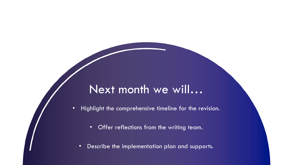#### Next month we will…

• Highlight the comprehensive timeline for the revision.

- Offer reflections from the writing team.
- Describe the implementation plan and supports.